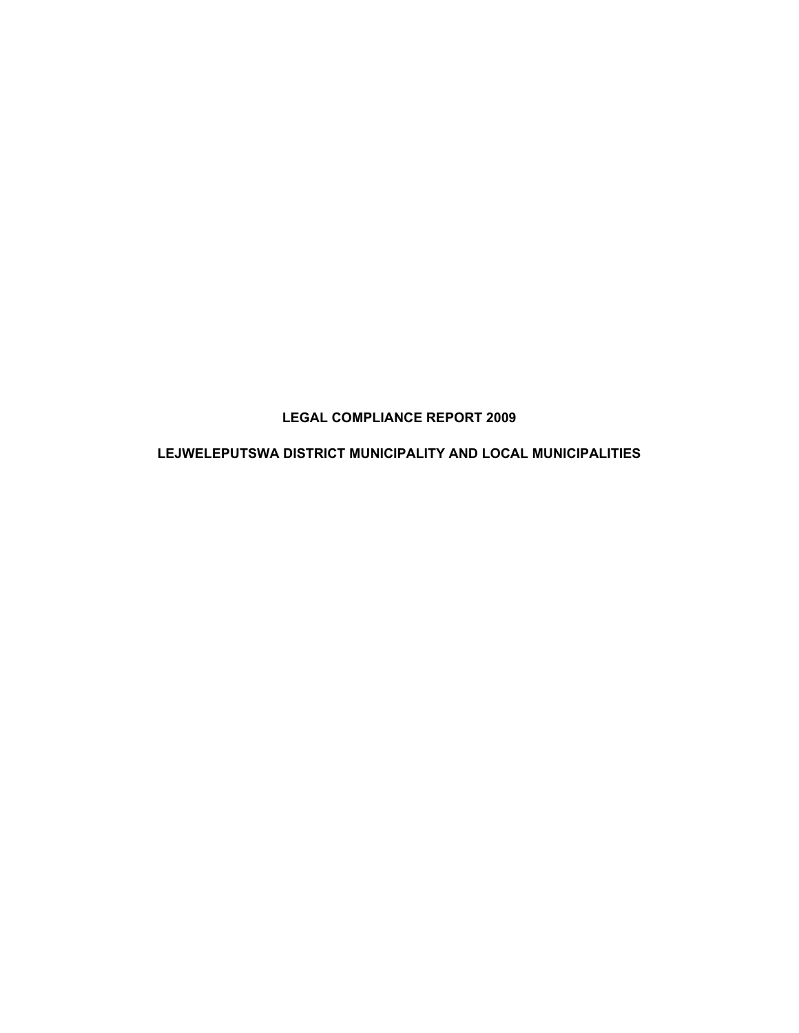# **LEGAL COMPLIANCE REPORT 2009**

## **LEJWELEPUTSWA DISTRICT MUNICIPALITY AND LOCAL MUNICIPALITIES**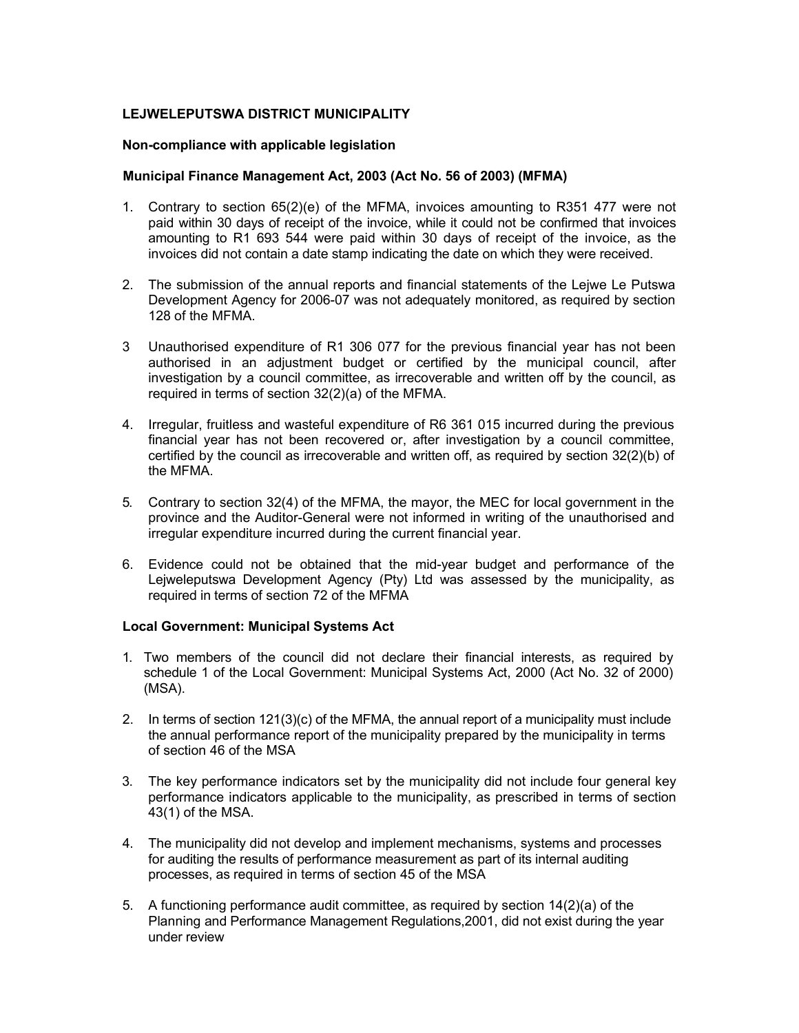### **LEJWELEPUTSWA DISTRICT MUNICIPALITY**

#### **Non-compliance with applicable legislation**

#### **Municipal Finance Management Act, 2003 (Act No. 56 of 2003) (MFMA)**

- 1. Contrary to section 65(2)(e) of the MFMA, invoices amounting to R351 477 were not paid within 30 days of receipt of the invoice, while it could not be confirmed that invoices amounting to R1 693 544 were paid within 30 days of receipt of the invoice, as the invoices did not contain a date stamp indicating the date on which they were received.
- 2. The submission of the annual reports and financial statements of the Lejwe Le Putswa Development Agency for 2006-07 was not adequately monitored, as required by section 128 of the MFMA.
- 3 Unauthorised expenditure of R1 306 077 for the previous financial year has not been authorised in an adjustment budget or certified by the municipal council, after investigation by a council committee, as irrecoverable and written off by the council, as required in terms of section 32(2)(a) of the MFMA.
- 4. Irregular, fruitless and wasteful expenditure of R6 361 015 incurred during the previous financial year has not been recovered or, after investigation by a council committee, certified by the council as irrecoverable and written off, as required by section 32(2)(b) of the MFMA.
- 5. Contrary to section 32(4) of the MFMA, the mayor, the MEC for local government in the province and the Auditor-General were not informed in writing of the unauthorised and irregular expenditure incurred during the current financial year.
- 6. Evidence could not be obtained that the mid-year budget and performance of the Lejweleputswa Development Agency (Pty) Ltd was assessed by the municipality, as required in terms of section 72 of the MFMA

#### **Local Government: Municipal Systems Act**

- 1. Two members of the council did not declare their financial interests, as required by schedule 1 of the Local Government: Municipal Systems Act, 2000 (Act No. 32 of 2000) (MSA).
- 2. In terms of section 121(3)(c) of the MFMA, the annual report of a municipality must include the annual performance report of the municipality prepared by the municipality in terms of section 46 of the MSA
- 3. The key performance indicators set by the municipality did not include four general key performance indicators applicable to the municipality, as prescribed in terms of section 43(1) of the MSA.
- 4. The municipality did not develop and implement mechanisms, systems and processes for auditing the results of performance measurement as part of its internal auditing processes, as required in terms of section 45 of the MSA
- 5. A functioning performance audit committee, as required by section 14(2)(a) of the Planning and Performance Management Regulations,2001, did not exist during the year under review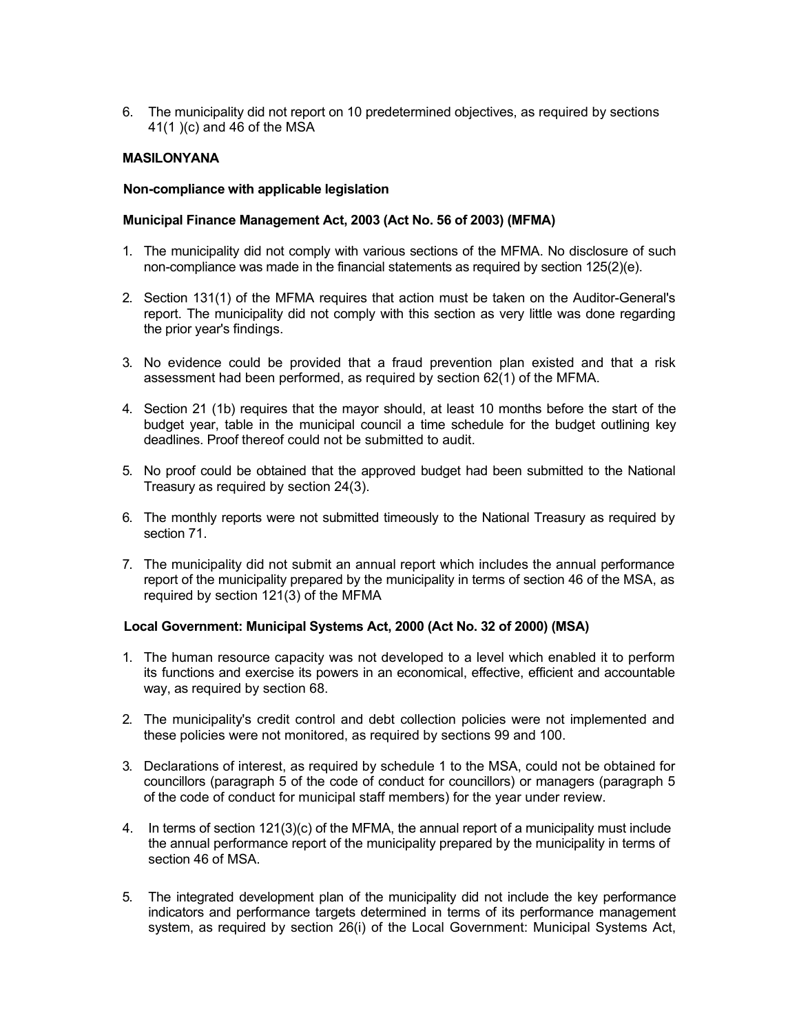6. The municipality did not report on 10 predetermined objectives, as required by sections 41(1 )(c) and 46 of the MSA

### **MASILONYANA**

#### **Non-compliance with applicable legislation**

#### **Municipal Finance Management Act, 2003 (Act No. 56 of 2003) (MFMA)**

- 1. The municipality did not comply with various sections of the MFMA. No disclosure of such non-compliance was made in the financial statements as required by section 125(2)(e).
- 2. Section 131(1) of the MFMA requires that action must be taken on the Auditor-General's report. The municipality did not comply with this section as very little was done regarding the prior year's findings.
- 3. No evidence could be provided that a fraud prevention plan existed and that a risk assessment had been performed, as required by section 62(1) of the MFMA.
- 4. Section 21 (1b) requires that the mayor should, at least 10 months before the start of the budget year, table in the municipal council a time schedule for the budget outlining key deadlines. Proof thereof could not be submitted to audit.
- 5. No proof could be obtained that the approved budget had been submitted to the National Treasury as required by section 24(3).
- 6. The monthly reports were not submitted timeously to the National Treasury as required by section 71.
- 7. The municipality did not submit an annual report which includes the annual performance report of the municipality prepared by the municipality in terms of section 46 of the MSA, as required by section 121(3) of the MFMA

#### **Local Government: Municipal Systems Act, 2000 (Act No. 32 of 2000) (MSA)**

- 1. The human resource capacity was not developed to a level which enabled it to perform its functions and exercise its powers in an economical, effective, efficient and accountable way, as required by section 68.
- 2. The municipality's credit control and debt collection policies were not implemented and these policies were not monitored, as required by sections 99 and 100.
- 3. Declarations of interest, as required by schedule 1 to the MSA, could not be obtained for councillors (paragraph 5 of the code of conduct for councillors) or managers (paragraph 5 of the code of conduct for municipal staff members) for the year under review.
- 4. In terms of section 121(3)(c) of the MFMA, the annual report of a municipality must include the annual performance report of the municipality prepared by the municipality in terms of section 46 of MSA.
- 5. The integrated development plan of the municipality did not include the key performance indicators and performance targets determined in terms of its performance management system, as required by section 26(i) of the Local Government: Municipal Systems Act,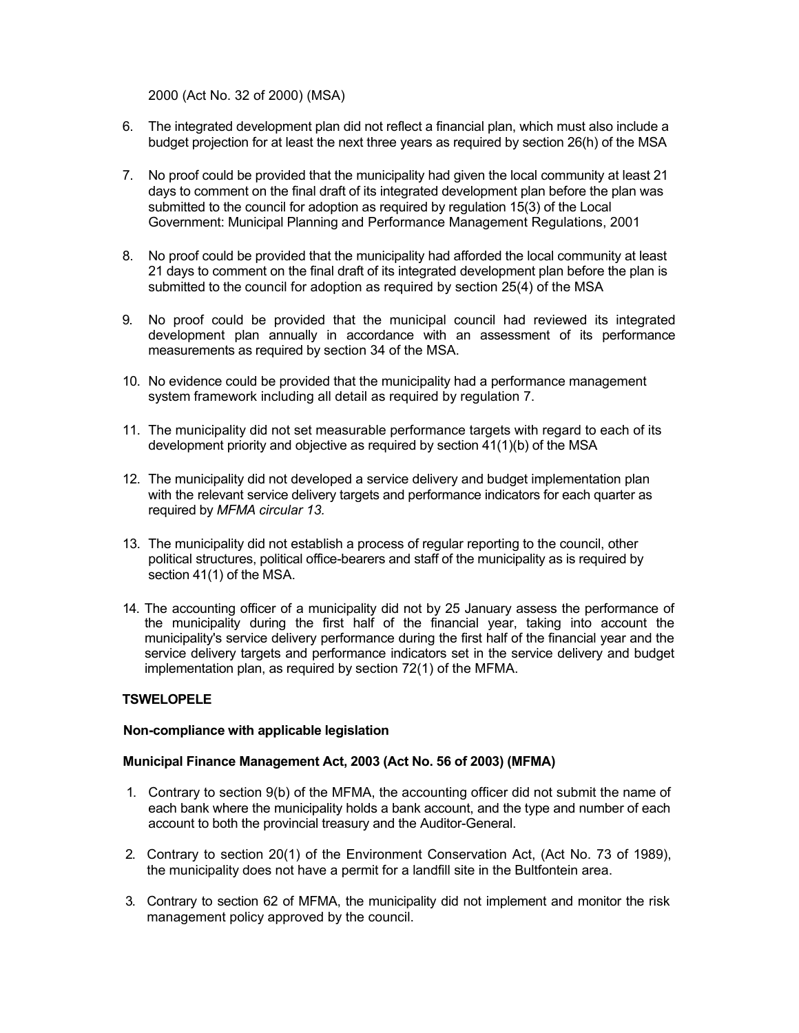2000 (Act No. 32 of 2000) (MSA)

- 6. The integrated development plan did not reflect a financial plan, which must also include a budget projection for at least the next three years as required by section 26(h) of the MSA
- 7. No proof could be provided that the municipality had given the local community at least 21 days to comment on the final draft of its integrated development plan before the plan was submitted to the council for adoption as required by regulation 15(3) of the Local Government: Municipal Planning and Performance Management Regulations, 2001
- 8. No proof could be provided that the municipality had afforded the local community at least 21 days to comment on the final draft of its integrated development plan before the plan is submitted to the council for adoption as required by section 25(4) of the MSA
- 9. No proof could be provided that the municipal council had reviewed its integrated development plan annually in accordance with an assessment of its performance measurements as required by section 34 of the MSA.
- 10. No evidence could be provided that the municipality had a performance management system framework including all detail as required by regulation 7.
- 11. The municipality did not set measurable performance targets with regard to each of its development priority and objective as required by section 41(1)(b) of the MSA
- 12. The municipality did not developed a service delivery and budget implementation plan with the relevant service delivery targets and performance indicators for each quarter as required by *MFMA circular 13.*
- 13. The municipality did not establish a process of regular reporting to the council, other political structures, political office-bearers and staff of the municipality as is required by section 41(1) of the MSA.
- 14. The accounting officer of a municipality did not by 25 January assess the performance of the municipality during the first half of the financial year, taking into account the municipality's service delivery performance during the first half of the financial year and the service delivery targets and performance indicators set in the service delivery and budget implementation plan, as required by section 72(1) of the MFMA.

## **TSWELOPELE**

#### **Non-compliance with applicable legislation**

## **Municipal Finance Management Act, 2003 (Act No. 56 of 2003) (MFMA)**

- 1. Contrary to section 9(b) of the MFMA, the accounting officer did not submit the name of each bank where the municipality holds a bank account, and the type and number of each account to both the provincial treasury and the Auditor-General.
- 2. Contrary to section 20(1) of the Environment Conservation Act, (Act No. 73 of 1989), the municipality does not have a permit for a landfill site in the Bultfontein area.
- 3. Contrary to section 62 of MFMA, the municipality did not implement and monitor the risk management policy approved by the council.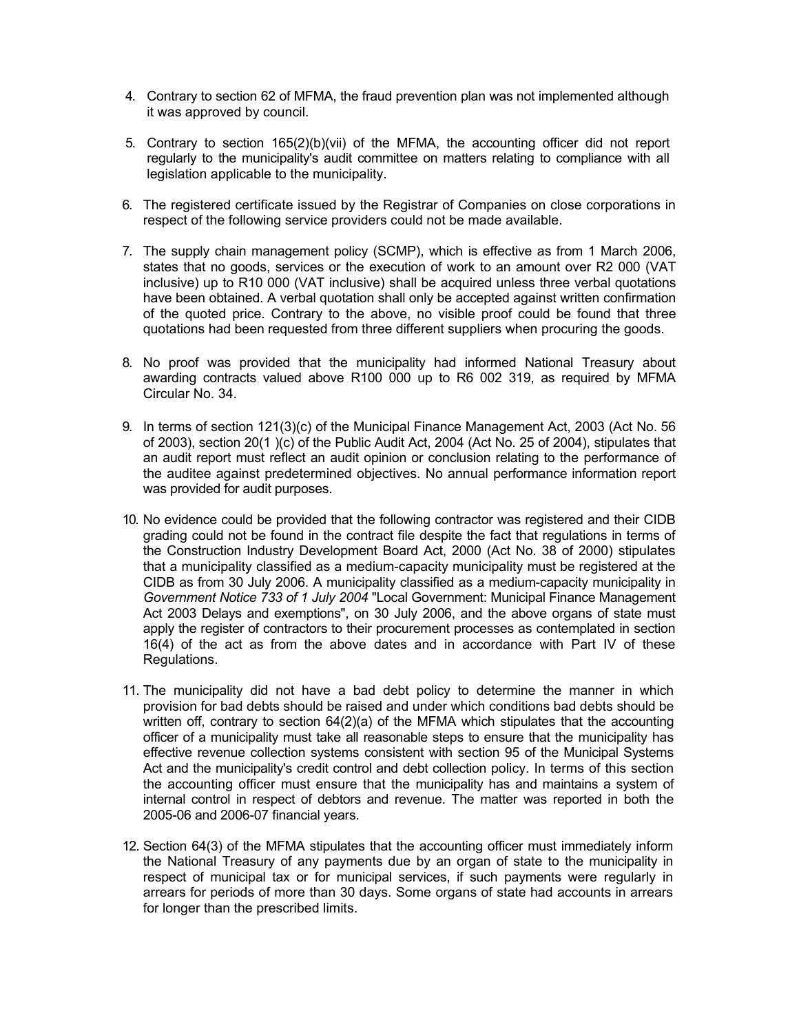- 4. Contrary to section 62 of MFMA, the fraud prevention plan was not implemented although it was approved by council.
- 5. Contrary to section 165(2)(b)(vii) of the MFMA, the accounting officer did not report regularly to the municipality's audit committee on matters relating to compliance with all legislation applicable to the municipality.
- 6. The registered certificate issued by the Registrar of Companies on close corporations in respect of the following service providers could not be made available.
- 7. The supply chain management policy (SCMP), which is effective as from 1 March 2006, states that no goods, services or the execution of work to an amount over R2 000 (VAT inclusive) up to R10 000 (VAT inclusive) shall be acquired unless three verbal quotations have been obtained. A verbal quotation shall only be accepted against written confirmation of the quoted price. Contrary to the above, no visible proof could be found that three quotations had been requested from three different suppliers when procuring the goods.
- 8. No proof was provided that the municipality had informed National Treasury about awarding contracts valued above R100 000 up to R6 002 319, as required by MFMA Circular No. 34.
- 9. In terms of section 121(3)(c) of the Municipal Finance Management Act, 2003 (Act No. 56 of 2003), section 20(1 )(c) of the Public Audit Act, 2004 (Act No. 25 of 2004), stipulates that an audit report must reflect an audit opinion or conclusion relating to the performance of the auditee against predetermined objectives. No annual performance information report was provided for audit purposes.
- 10. No evidence could be provided that the following contractor was registered and their CIDB grading could not be found in the contract file despite the fact that regulations in terms of the Construction Industry Development Board Act, 2000 (Act No. 38 of 2000) stipulates that a municipality classified as a medium-capacity municipality must be registered at the CIDB as from 30 July 2006. A municipality classified as a medium-capacity municipality in *Government Notice 733 of 1 July 2004* "Local Government: Municipal Finance Management Act 2003 Delays and exemptions", on 30 July 2006, and the above organs of state must apply the register of contractors to their procurement processes as contemplated in section 16(4) of the act as from the above dates and in accordance with Part IV of these Regulations.
- 11. The municipality did not have a bad debt policy to determine the manner in which provision for bad debts should be raised and under which conditions bad debts should be written off, contrary to section  $64(2)(a)$  of the MFMA which stipulates that the accounting officer of a municipality must take all reasonable steps to ensure that the municipality has effective revenue collection systems consistent with section 95 of the Municipal Systems Act and the municipality's credit control and debt collection policy. In terms of this section the accounting officer must ensure that the municipality has and maintains a system of internal control in respect of debtors and revenue. The matter was reported in both the 2005-06 and 2006-07 financial years.
- 12. Section 64(3) of the MFMA stipulates that the accounting officer must immediately inform the National Treasury of any payments due by an organ of state to the municipality in respect of municipal tax or for municipal services, if such payments were regularly in arrears for periods of more than 30 days. Some organs of state had accounts in arrears for longer than the prescribed limits.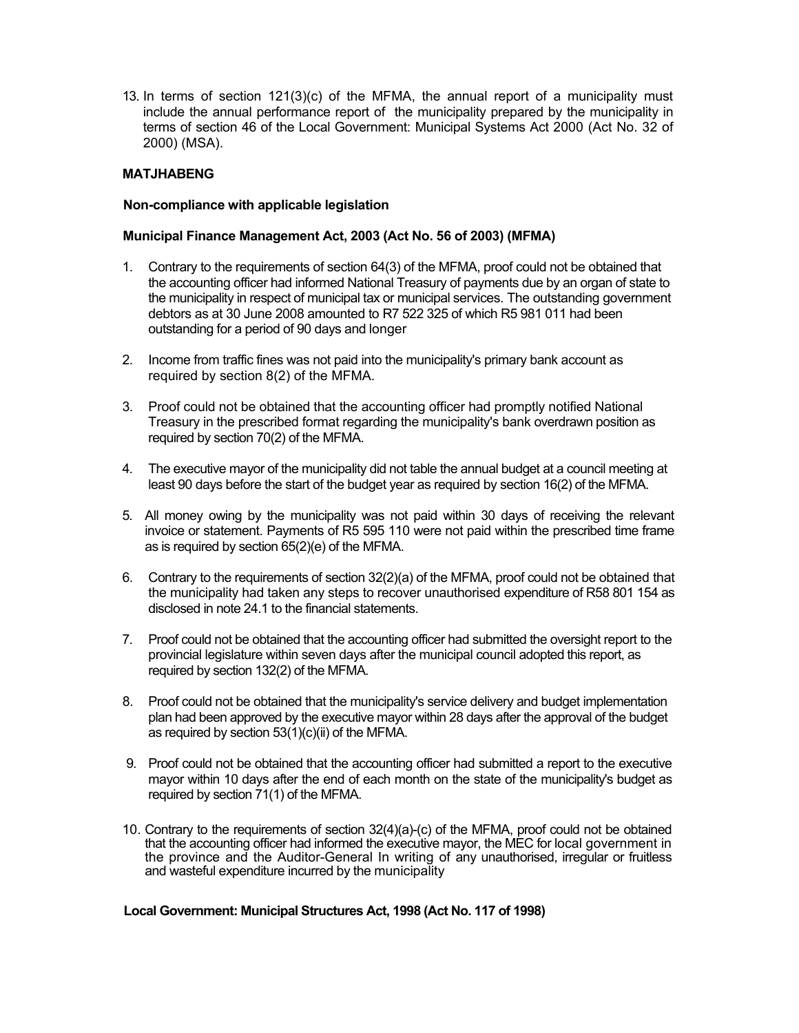13. In terms of section 121(3)(c) of the MFMA, the annual report of a municipality must include the annual performance report of the municipality prepared by the municipality in terms of section 46 of the Local Government: Municipal Systems Act 2000 (Act No. 32 of 2000) (MSA).

## **MATJHABENG**

#### **Non-compliance with applicable legislation**

### **Municipal Finance Management Act, 2003 (Act No. 56 of 2003) (MFMA)**

- 1. Contrary to the requirements of section 64(3) of the MFMA, proof could not be obtained that the accounting officer had informed National Treasury of payments due by an organ of state to the municipality in respect of municipal tax or municipal services. The outstanding government debtors as at 30 June 2008 amounted to R7 522 325 of which R5 981 011 had been outstanding for a period of 90 days and longer
- 2. Income from traffic fines was not paid into the municipality's primary bank account as required by section 8(2) of the MFMA.
- 3. Proof could not be obtained that the accounting officer had promptly notified National Treasury in the prescribed format regarding the municipality's bank overdrawn position as required by section 70(2) of the MFMA.
- 4. The executive mayor of the municipality did not table the annual budget at a council meeting at least 90 days before the start of the budget year as required by section 16(2) of the MFMA.
- 5. All money owing by the municipality was not paid within 30 days of receiving the relevant invoice or statement. Payments of R5 595 110 were not paid within the prescribed time frame as is required by section 65(2)(e) of the MFMA.
- 6. Contrary to the requirements of section 32(2)(a) of the MFMA, proof could not be obtained that the municipality had taken any steps to recover unauthorised expenditure of R58 801 154 as disclosed in note 24.1 to the financial statements.
- 7. Proof could not be obtained that the accounting officer had submitted the oversight report to the provincial legislature within seven days after the municipal council adopted this report, as required by section 132(2) of the MFMA.
- 8. Proof could not be obtained that the municipality's service delivery and budget implementation plan had been approved by the executive mayor within 28 days after the approval of the budget as required by section 53(1)(c)(ii) of the MFMA.
- 9. Proof could not be obtained that the accounting officer had submitted a report to the executive mayor within 10 days after the end of each month on the state of the municipality's budget as required by section 71(1) of the MFMA.
- 10. Contrary to the requirements of section 32(4)(a)-(c) of the MFMA, proof could not be obtained that the accounting officer had informed the executive mayor, the MEC for local government in the province and the Auditor-General In writing of any unauthorised, irregular or fruitless and wasteful expenditure incurred by the municipality

#### **Local Government: Municipal Structures Act, 1998 (Act No. 117 of 1998)**